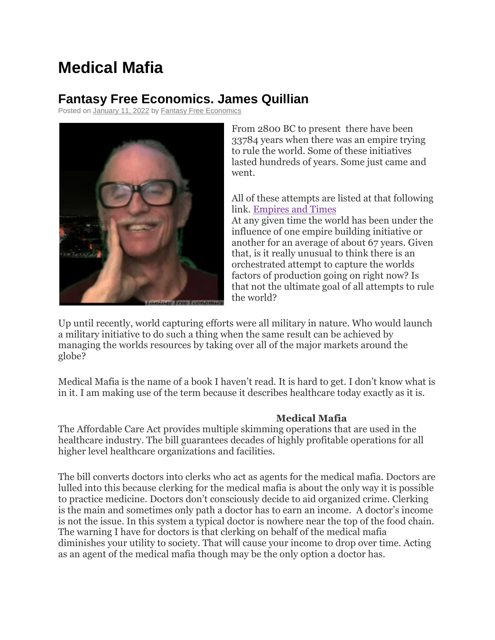## **Medical Mafia**

## **Fantasy Free Economics. James Quillian**

Posted on [January 11, 2022](http://quillian.net/blog/?p=7754) by [Fantasy Free Economics](http://quillian.net/blog/author/james-quillian/)



From 2800 BC to present there have been 33784 years when there was an empire trying to rule the world. Some of these initiatives lasted hundreds of years. Some just came and went.

## All of these attempts are listed at that following link. [Empires and Times](http://quillian.net/blog/wp-content/uploads/2020/05/Empiers-and-times.xlsx)

At any given time the world has been under the influence of one empire building initiative or another for an average of about 67 years. Given that, is it really unusual to think there is an orchestrated attempt to capture the worlds factors of production going on right now? Is that not the ultimate goal of all attempts to rule the world?

Up until recently, world capturing efforts were all military in nature. Who would launch a military initiative to do such a thing when the same result can be achieved by managing the worlds resources by taking over all of the major markets around the globe?

Medical Mafia is the name of a book I haven't read. It is hard to get. I don't know what is in it. I am making use of the term because it describes healthcare today exactly as it is.

## **Medical Mafia**

The Affordable Care Act provides multiple skimming operations that are used in the healthcare industry. The bill guarantees decades of highly profitable operations for all higher level healthcare organizations and facilities.

The bill converts doctors into clerks who act as agents for the medical mafia. Doctors are lulled into this because clerking for the medical mafia is about the only way it is possible to practice medicine. Doctors don't consciously decide to aid organized crime. Clerking is the main and sometimes only path a doctor has to earn an income. A doctor's income is not the issue. In this system a typical doctor is nowhere near the top of the food chain. The warning I have for doctors is that clerking on behalf of the medical mafia diminishes your utility to society. That will cause your income to drop over time. Acting as an agent of the medical mafia though may be the only option a doctor has.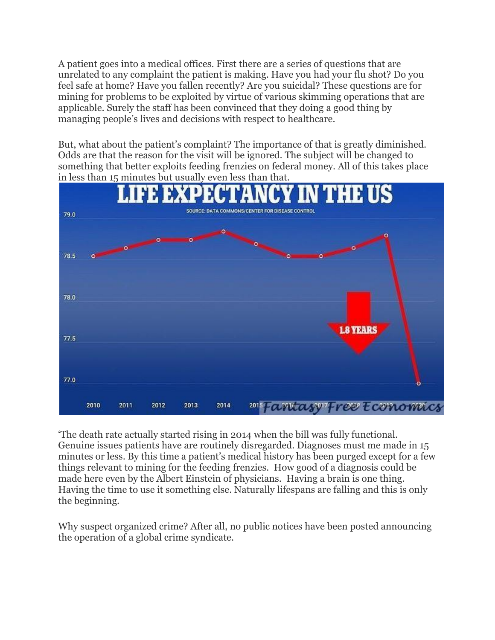A patient goes into a medical offices. First there are a series of questions that are unrelated to any complaint the patient is making. Have you had your flu shot? Do you feel safe at home? Have you fallen recently? Are you suicidal? These questions are for mining for problems to be exploited by virtue of various skimming operations that are applicable. Surely the staff has been convinced that they doing a good thing by managing people's lives and decisions with respect to healthcare.

But, what about the patient's complaint? The importance of that is greatly diminished. Odds are that the reason for the visit will be ignored. The subject will be changed to something that better exploits feeding frenzies on federal money. All of this takes place in less than 15 minutes but usually even less than that.



'The death rate actually started rising in 2014 when the bill was fully functional. Genuine issues patients have are routinely disregarded. Diagnoses must me made in 15 minutes or less. By this time a patient's medical history has been purged except for a few things relevant to mining for the feeding frenzies. How good of a diagnosis could be made here even by the Albert Einstein of physicians. Having a brain is one thing. Having the time to use it something else. Naturally lifespans are falling and this is only the beginning.

Why suspect organized crime? After all, no public notices have been posted announcing the operation of a global crime syndicate.